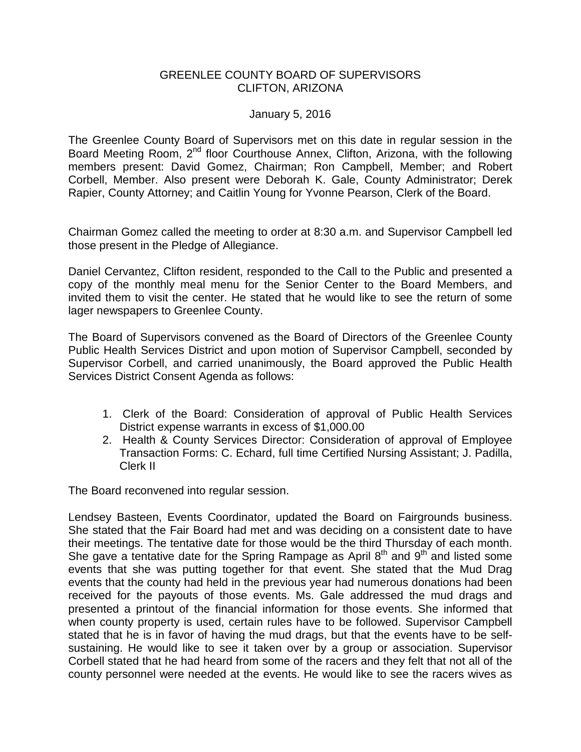## GREENLEE COUNTY BOARD OF SUPERVISORS CLIFTON, ARIZONA

## January 5, 2016

The Greenlee County Board of Supervisors met on this date in regular session in the Board Meeting Room, 2<sup>nd</sup> floor Courthouse Annex, Clifton, Arizona, with the following members present: David Gomez, Chairman; Ron Campbell, Member; and Robert Corbell, Member. Also present were Deborah K. Gale, County Administrator; Derek Rapier, County Attorney; and Caitlin Young for Yvonne Pearson, Clerk of the Board.

Chairman Gomez called the meeting to order at 8:30 a.m. and Supervisor Campbell led those present in the Pledge of Allegiance.

Daniel Cervantez, Clifton resident, responded to the Call to the Public and presented a copy of the monthly meal menu for the Senior Center to the Board Members, and invited them to visit the center. He stated that he would like to see the return of some lager newspapers to Greenlee County.

The Board of Supervisors convened as the Board of Directors of the Greenlee County Public Health Services District and upon motion of Supervisor Campbell, seconded by Supervisor Corbell, and carried unanimously, the Board approved the Public Health Services District Consent Agenda as follows:

- 1. Clerk of the Board: Consideration of approval of Public Health Services District expense warrants in excess of \$1,000.00
- 2. Health & County Services Director: Consideration of approval of Employee Transaction Forms: C. Echard, full time Certified Nursing Assistant; J. Padilla, Clerk II

The Board reconvened into regular session.

Lendsey Basteen, Events Coordinator, updated the Board on Fairgrounds business. She stated that the Fair Board had met and was deciding on a consistent date to have their meetings. The tentative date for those would be the third Thursday of each month. She gave a tentative date for the Spring Rampage as April  $8<sup>th</sup>$  and  $9<sup>th</sup>$  and listed some events that she was putting together for that event. She stated that the Mud Drag events that the county had held in the previous year had numerous donations had been received for the payouts of those events. Ms. Gale addressed the mud drags and presented a printout of the financial information for those events. She informed that when county property is used, certain rules have to be followed. Supervisor Campbell stated that he is in favor of having the mud drags, but that the events have to be selfsustaining. He would like to see it taken over by a group or association. Supervisor Corbell stated that he had heard from some of the racers and they felt that not all of the county personnel were needed at the events. He would like to see the racers wives as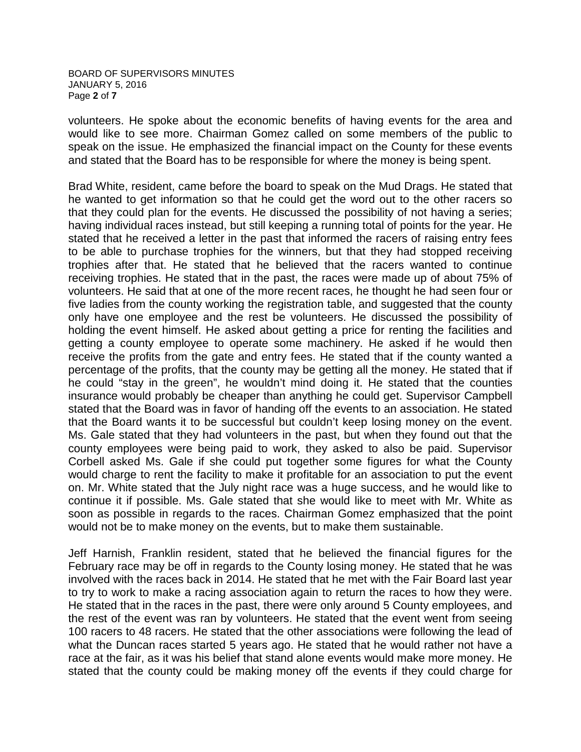BOARD OF SUPERVISORS MINUTES JANUARY 5, 2016 Page **2** of **7**

volunteers. He spoke about the economic benefits of having events for the area and would like to see more. Chairman Gomez called on some members of the public to speak on the issue. He emphasized the financial impact on the County for these events and stated that the Board has to be responsible for where the money is being spent.

Brad White, resident, came before the board to speak on the Mud Drags. He stated that he wanted to get information so that he could get the word out to the other racers so that they could plan for the events. He discussed the possibility of not having a series; having individual races instead, but still keeping a running total of points for the year. He stated that he received a letter in the past that informed the racers of raising entry fees to be able to purchase trophies for the winners, but that they had stopped receiving trophies after that. He stated that he believed that the racers wanted to continue receiving trophies. He stated that in the past, the races were made up of about 75% of volunteers. He said that at one of the more recent races, he thought he had seen four or five ladies from the county working the registration table, and suggested that the county only have one employee and the rest be volunteers. He discussed the possibility of holding the event himself. He asked about getting a price for renting the facilities and getting a county employee to operate some machinery. He asked if he would then receive the profits from the gate and entry fees. He stated that if the county wanted a percentage of the profits, that the county may be getting all the money. He stated that if he could "stay in the green", he wouldn't mind doing it. He stated that the counties insurance would probably be cheaper than anything he could get. Supervisor Campbell stated that the Board was in favor of handing off the events to an association. He stated that the Board wants it to be successful but couldn't keep losing money on the event. Ms. Gale stated that they had volunteers in the past, but when they found out that the county employees were being paid to work, they asked to also be paid. Supervisor Corbell asked Ms. Gale if she could put together some figures for what the County would charge to rent the facility to make it profitable for an association to put the event on. Mr. White stated that the July night race was a huge success, and he would like to continue it if possible. Ms. Gale stated that she would like to meet with Mr. White as soon as possible in regards to the races. Chairman Gomez emphasized that the point would not be to make money on the events, but to make them sustainable.

Jeff Harnish, Franklin resident, stated that he believed the financial figures for the February race may be off in regards to the County losing money. He stated that he was involved with the races back in 2014. He stated that he met with the Fair Board last year to try to work to make a racing association again to return the races to how they were. He stated that in the races in the past, there were only around 5 County employees, and the rest of the event was ran by volunteers. He stated that the event went from seeing 100 racers to 48 racers. He stated that the other associations were following the lead of what the Duncan races started 5 years ago. He stated that he would rather not have a race at the fair, as it was his belief that stand alone events would make more money. He stated that the county could be making money off the events if they could charge for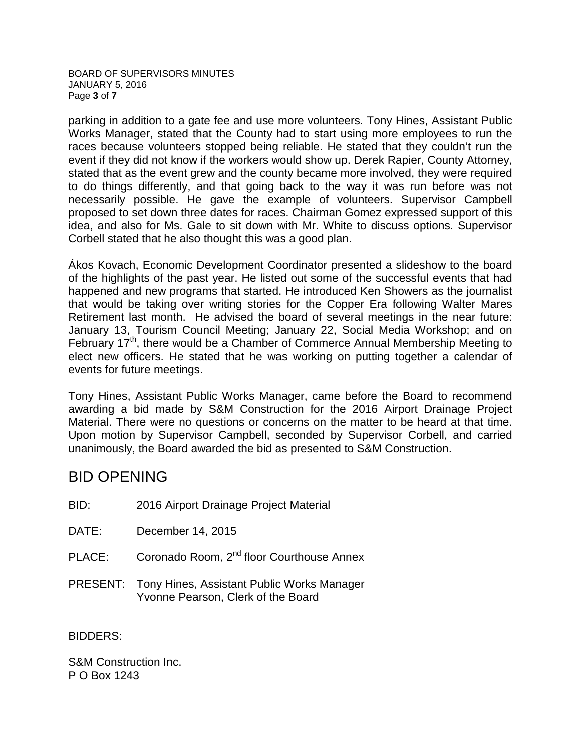BOARD OF SUPERVISORS MINUTES JANUARY 5, 2016 Page **3** of **7**

parking in addition to a gate fee and use more volunteers. Tony Hines, Assistant Public Works Manager, stated that the County had to start using more employees to run the races because volunteers stopped being reliable. He stated that they couldn't run the event if they did not know if the workers would show up. Derek Rapier, County Attorney, stated that as the event grew and the county became more involved, they were required to do things differently, and that going back to the way it was run before was not necessarily possible. He gave the example of volunteers. Supervisor Campbell proposed to set down three dates for races. Chairman Gomez expressed support of this idea, and also for Ms. Gale to sit down with Mr. White to discuss options. Supervisor Corbell stated that he also thought this was a good plan.

Ákos Kovach, Economic Development Coordinator presented a slideshow to the board of the highlights of the past year. He listed out some of the successful events that had happened and new programs that started. He introduced Ken Showers as the journalist that would be taking over writing stories for the Copper Era following Walter Mares Retirement last month. He advised the board of several meetings in the near future: January 13, Tourism Council Meeting; January 22, Social Media Workshop; and on February  $17<sup>th</sup>$ , there would be a Chamber of Commerce Annual Membership Meeting to elect new officers. He stated that he was working on putting together a calendar of events for future meetings.

Tony Hines, Assistant Public Works Manager, came before the Board to recommend awarding a bid made by S&M Construction for the 2016 Airport Drainage Project Material. There were no questions or concerns on the matter to be heard at that time. Upon motion by Supervisor Campbell, seconded by Supervisor Corbell, and carried unanimously, the Board awarded the bid as presented to S&M Construction.

# BID OPENING

BID: 2016 Airport Drainage Project Material

- DATE: December 14, 2015
- PLACE: Coronado Room, 2<sup>nd</sup> floor Courthouse Annex
- PRESENT: Tony Hines, Assistant Public Works Manager Yvonne Pearson, Clerk of the Board

BIDDERS:

S&M Construction Inc. P O Box 1243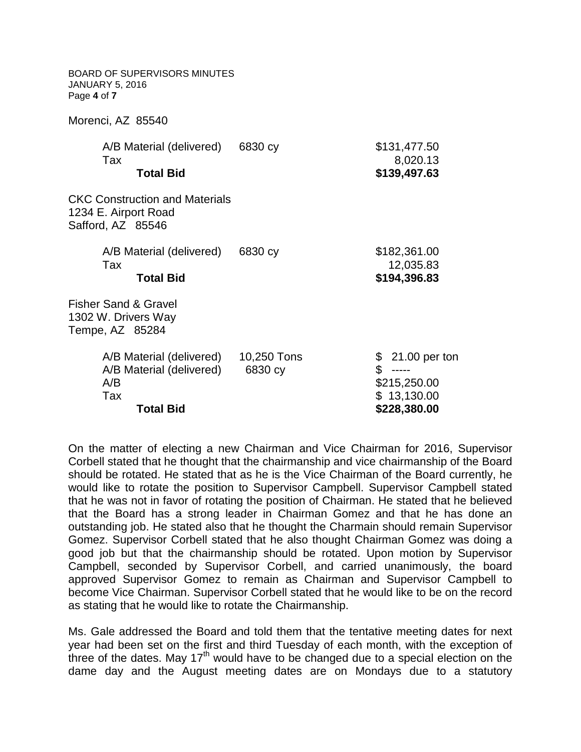| <b>BOARD OF SUPERVISORS MINUTES</b><br><b>JANUARY 5, 2016</b><br>Page 4 of 7       |                        |                                           |
|------------------------------------------------------------------------------------|------------------------|-------------------------------------------|
| Morenci, AZ 85540                                                                  |                        |                                           |
| A/B Material (delivered)<br>Tax                                                    | 6830 cy                | \$131,477.50                              |
| <b>Total Bid</b>                                                                   |                        | 8,020.13<br>\$139,497.63                  |
| <b>CKC Construction and Materials</b><br>1234 E. Airport Road<br>Safford, AZ 85546 |                        |                                           |
| A/B Material (delivered)                                                           | 6830 cy                | \$182,361.00                              |
| Tax<br><b>Total Bid</b>                                                            |                        | 12,035.83<br>\$194,396.83                 |
| <b>Fisher Sand &amp; Gravel</b><br>1302 W. Drivers Way<br>Tempe, AZ 85284          |                        |                                           |
| A/B Material (delivered)<br>A/B Material (delivered)<br>A/B                        | 10,250 Tons<br>6830 cy | 21.00 per ton<br>\$<br>\$<br>\$215,250.00 |
| Tax<br><b>Total Bid</b>                                                            |                        | \$13,130.00<br>\$228,380.00               |

On the matter of electing a new Chairman and Vice Chairman for 2016, Supervisor Corbell stated that he thought that the chairmanship and vice chairmanship of the Board should be rotated. He stated that as he is the Vice Chairman of the Board currently, he would like to rotate the position to Supervisor Campbell. Supervisor Campbell stated that he was not in favor of rotating the position of Chairman. He stated that he believed that the Board has a strong leader in Chairman Gomez and that he has done an outstanding job. He stated also that he thought the Charmain should remain Supervisor Gomez. Supervisor Corbell stated that he also thought Chairman Gomez was doing a good job but that the chairmanship should be rotated. Upon motion by Supervisor Campbell, seconded by Supervisor Corbell, and carried unanimously, the board approved Supervisor Gomez to remain as Chairman and Supervisor Campbell to become Vice Chairman. Supervisor Corbell stated that he would like to be on the record as stating that he would like to rotate the Chairmanship.

Ms. Gale addressed the Board and told them that the tentative meeting dates for next year had been set on the first and third Tuesday of each month, with the exception of three of the dates. May  $17<sup>th</sup>$  would have to be changed due to a special election on the dame day and the August meeting dates are on Mondays due to a statutory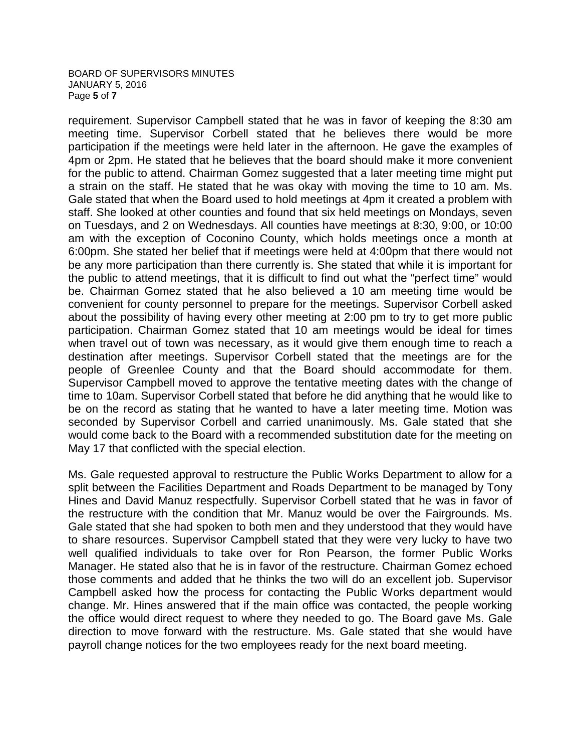### BOARD OF SUPERVISORS MINUTES JANUARY 5, 2016 Page **5** of **7**

requirement. Supervisor Campbell stated that he was in favor of keeping the 8:30 am meeting time. Supervisor Corbell stated that he believes there would be more participation if the meetings were held later in the afternoon. He gave the examples of 4pm or 2pm. He stated that he believes that the board should make it more convenient for the public to attend. Chairman Gomez suggested that a later meeting time might put a strain on the staff. He stated that he was okay with moving the time to 10 am. Ms. Gale stated that when the Board used to hold meetings at 4pm it created a problem with staff. She looked at other counties and found that six held meetings on Mondays, seven on Tuesdays, and 2 on Wednesdays. All counties have meetings at 8:30, 9:00, or 10:00 am with the exception of Coconino County, which holds meetings once a month at 6:00pm. She stated her belief that if meetings were held at 4:00pm that there would not be any more participation than there currently is. She stated that while it is important for the public to attend meetings, that it is difficult to find out what the "perfect time" would be. Chairman Gomez stated that he also believed a 10 am meeting time would be convenient for county personnel to prepare for the meetings. Supervisor Corbell asked about the possibility of having every other meeting at 2:00 pm to try to get more public participation. Chairman Gomez stated that 10 am meetings would be ideal for times when travel out of town was necessary, as it would give them enough time to reach a destination after meetings. Supervisor Corbell stated that the meetings are for the people of Greenlee County and that the Board should accommodate for them. Supervisor Campbell moved to approve the tentative meeting dates with the change of time to 10am. Supervisor Corbell stated that before he did anything that he would like to be on the record as stating that he wanted to have a later meeting time. Motion was seconded by Supervisor Corbell and carried unanimously. Ms. Gale stated that she would come back to the Board with a recommended substitution date for the meeting on May 17 that conflicted with the special election.

Ms. Gale requested approval to restructure the Public Works Department to allow for a split between the Facilities Department and Roads Department to be managed by Tony Hines and David Manuz respectfully. Supervisor Corbell stated that he was in favor of the restructure with the condition that Mr. Manuz would be over the Fairgrounds. Ms. Gale stated that she had spoken to both men and they understood that they would have to share resources. Supervisor Campbell stated that they were very lucky to have two well qualified individuals to take over for Ron Pearson, the former Public Works Manager. He stated also that he is in favor of the restructure. Chairman Gomez echoed those comments and added that he thinks the two will do an excellent job. Supervisor Campbell asked how the process for contacting the Public Works department would change. Mr. Hines answered that if the main office was contacted, the people working the office would direct request to where they needed to go. The Board gave Ms. Gale direction to move forward with the restructure. Ms. Gale stated that she would have payroll change notices for the two employees ready for the next board meeting.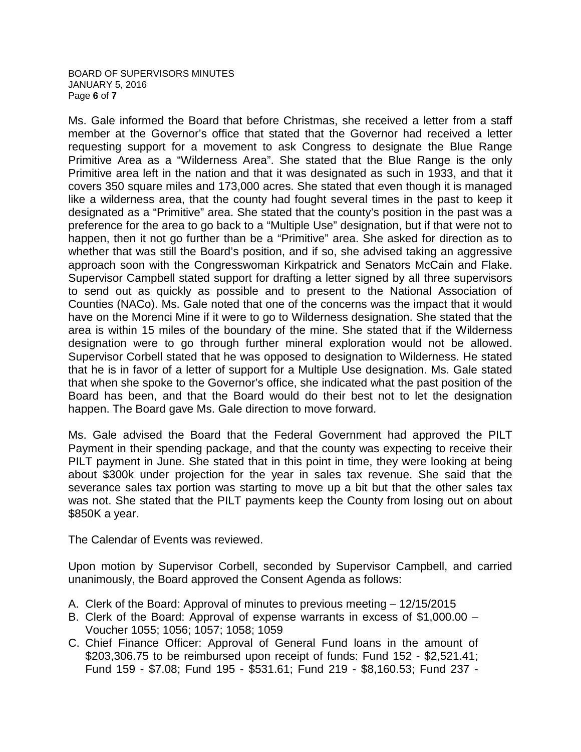### BOARD OF SUPERVISORS MINUTES JANUARY 5, 2016 Page **6** of **7**

Ms. Gale informed the Board that before Christmas, she received a letter from a staff member at the Governor's office that stated that the Governor had received a letter requesting support for a movement to ask Congress to designate the Blue Range Primitive Area as a "Wilderness Area". She stated that the Blue Range is the only Primitive area left in the nation and that it was designated as such in 1933, and that it covers 350 square miles and 173,000 acres. She stated that even though it is managed like a wilderness area, that the county had fought several times in the past to keep it designated as a "Primitive" area. She stated that the county's position in the past was a preference for the area to go back to a "Multiple Use" designation, but if that were not to happen, then it not go further than be a "Primitive" area. She asked for direction as to whether that was still the Board's position, and if so, she advised taking an aggressive approach soon with the Congresswoman Kirkpatrick and Senators McCain and Flake. Supervisor Campbell stated support for drafting a letter signed by all three supervisors to send out as quickly as possible and to present to the National Association of Counties (NACo). Ms. Gale noted that one of the concerns was the impact that it would have on the Morenci Mine if it were to go to Wilderness designation. She stated that the area is within 15 miles of the boundary of the mine. She stated that if the Wilderness designation were to go through further mineral exploration would not be allowed. Supervisor Corbell stated that he was opposed to designation to Wilderness. He stated that he is in favor of a letter of support for a Multiple Use designation. Ms. Gale stated that when she spoke to the Governor's office, she indicated what the past position of the Board has been, and that the Board would do their best not to let the designation happen. The Board gave Ms. Gale direction to move forward.

Ms. Gale advised the Board that the Federal Government had approved the PILT Payment in their spending package, and that the county was expecting to receive their PILT payment in June. She stated that in this point in time, they were looking at being about \$300k under projection for the year in sales tax revenue. She said that the severance sales tax portion was starting to move up a bit but that the other sales tax was not. She stated that the PILT payments keep the County from losing out on about \$850K a year.

The Calendar of Events was reviewed.

Upon motion by Supervisor Corbell, seconded by Supervisor Campbell, and carried unanimously, the Board approved the Consent Agenda as follows:

- A. Clerk of the Board: Approval of minutes to previous meeting 12/15/2015
- B. Clerk of the Board: Approval of expense warrants in excess of \$1,000.00 Voucher 1055; 1056; 1057; 1058; 1059
- C. Chief Finance Officer: Approval of General Fund loans in the amount of \$203,306.75 to be reimbursed upon receipt of funds: Fund 152 - \$2,521.41; Fund 159 - \$7.08; Fund 195 - \$531.61; Fund 219 - \$8,160.53; Fund 237 -